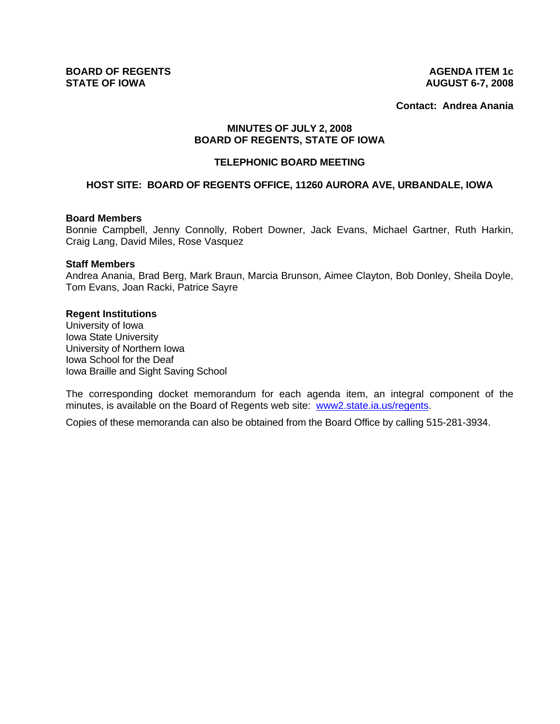**BOARD OF REGENTS AGENDA ITEM 1c STATE OF IOWA AUGUST 6-7, 2008** 

**Contact: Andrea Anania**

# **MINUTES OF JULY 2, 2008 BOARD OF REGENTS, STATE OF IOWA**

## **TELEPHONIC BOARD MEETING**

# **HOST SITE: BOARD OF REGENTS OFFICE, 11260 AURORA AVE, URBANDALE, IOWA**

#### **Board Members**

Bonnie Campbell, Jenny Connolly, Robert Downer, Jack Evans, Michael Gartner, Ruth Harkin, Craig Lang, David Miles, Rose Vasquez

#### **Staff Members**

Andrea Anania, Brad Berg, Mark Braun, Marcia Brunson, Aimee Clayton, Bob Donley, Sheila Doyle, Tom Evans, Joan Racki, Patrice Sayre

## **Regent Institutions**

University of Iowa Iowa State University University of Northern Iowa Iowa School for the Deaf Iowa Braille and Sight Saving School

The corresponding docket memorandum for each agenda item, an integral component of the minutes, is available on the Board of Regents web site: www2.state.ia.us/regents.

Copies of these memoranda can also be obtained from the Board Office by calling 515-281-3934.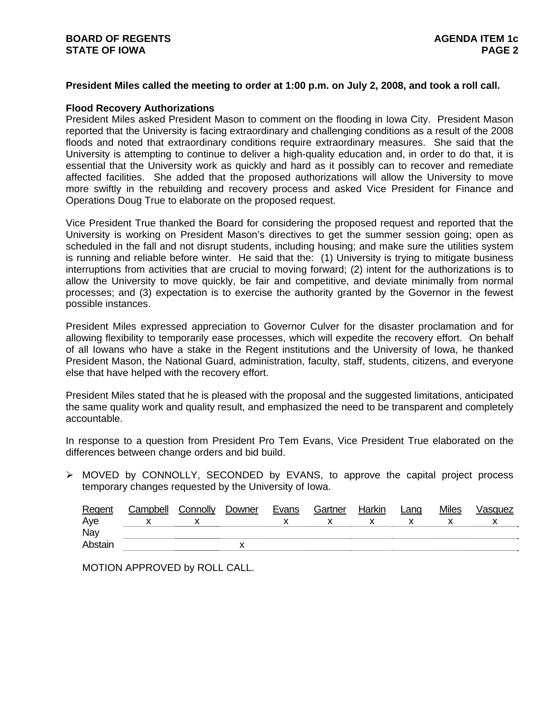# **President Miles called the meeting to order at 1:00 p.m. on July 2, 2008, and took a roll call.**

## **Flood Recovery Authorizations**

President Miles asked President Mason to comment on the flooding in Iowa City. President Mason reported that the University is facing extraordinary and challenging conditions as a result of the 2008 floods and noted that extraordinary conditions require extraordinary measures. She said that the University is attempting to continue to deliver a high-quality education and, in order to do that, it is essential that the University work as quickly and hard as it possibly can to recover and remediate affected facilities. She added that the proposed authorizations will allow the University to move more swiftly in the rebuilding and recovery process and asked Vice President for Finance and Operations Doug True to elaborate on the proposed request.

Vice President True thanked the Board for considering the proposed request and reported that the University is working on President Mason's directives to get the summer session going; open as scheduled in the fall and not disrupt students, including housing; and make sure the utilities system is running and reliable before winter. He said that the: (1) University is trying to mitigate business interruptions from activities that are crucial to moving forward; (2) intent for the authorizations is to allow the University to move quickly, be fair and competitive, and deviate minimally from normal processes; and (3) expectation is to exercise the authority granted by the Governor in the fewest possible instances.

President Miles expressed appreciation to Governor Culver for the disaster proclamation and for allowing flexibility to temporarily ease processes, which will expedite the recovery effort. On behalf of all Iowans who have a stake in the Regent institutions and the University of Iowa, he thanked President Mason, the National Guard, administration, faculty, staff, students, citizens, and everyone else that have helped with the recovery effort.

President Miles stated that he is pleased with the proposal and the suggested limitations, anticipated the same quality work and quality result, and emphasized the need to be transparent and completely accountable.

In response to a question from President Pro Tem Evans, Vice President True elaborated on the differences between change orders and bid build.

 $\triangleright$  MOVED by CONNOLLY, SECONDED by EVANS, to approve the capital project process temporary changes requested by the University of Iowa.

| Regent  | Campbell | Connolly | Downer | Evans | Gartner | Harkin | Lano | <b>Miles</b> | √asquez |
|---------|----------|----------|--------|-------|---------|--------|------|--------------|---------|
| Aye     |          |          |        |       |         |        |      |              |         |
| Nay     |          |          |        |       |         |        |      |              |         |
| Abstair |          |          |        |       |         |        |      |              |         |

MOTION APPROVED by ROLL CALL.